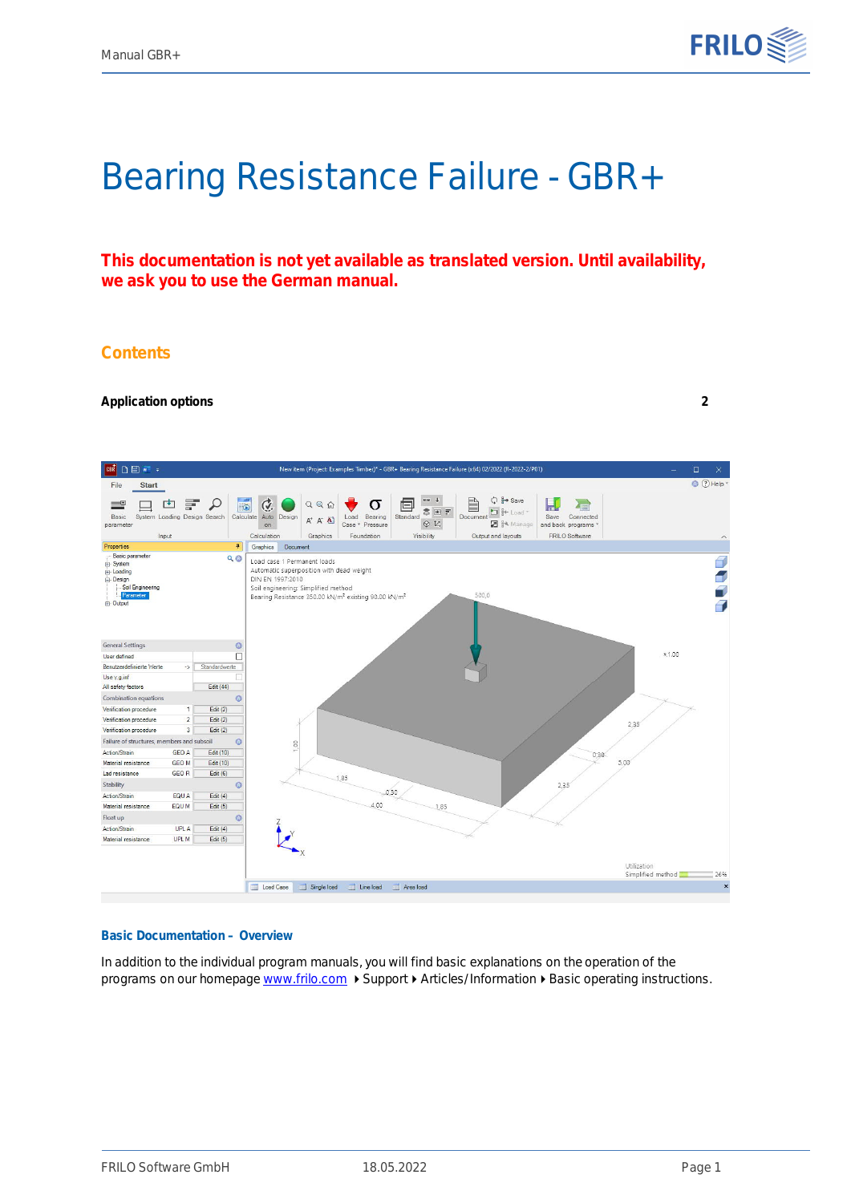

# Bearing Resistance Failure - GBR+

**This documentation is not yet available as translated version. Until availability, we ask you to use the German manual.**

### **Contents**

#### **[Application options](#page-1-0) [2](#page-1-0)**



#### **Basic Documentation – Overview**

In addition to the individual program manuals, you will find basic explanations on the operation of the programs on our homepage [www.frilo.com](https://www.frilo.eu/en/service/articles-information/basic-operating-instructions-frilo-software.html) > Support > Articles/Information > Basic operating instructions.